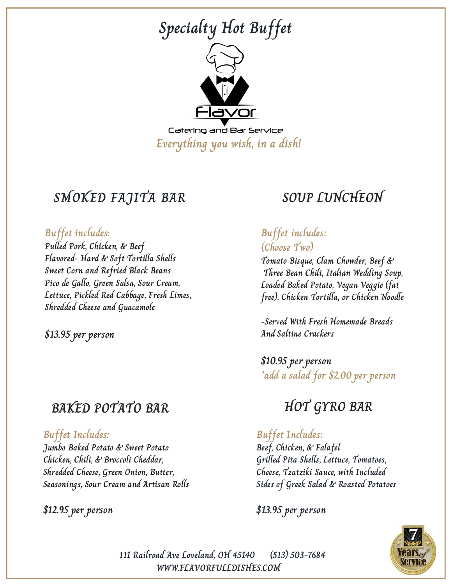

### **SMOKED FAJITA BAR**

#### **Buffet includes:**

**Pulled Pork, Chicken, & Beef Flavored- Hard & Soft Tortilla Shells Sweet Corn and Refried Black Beans Pico de Gallo, Green Salsa, Sour Cream, Lettuce, Pickled Red Cabbage, Fresh Limes, Shredded Cheese and Guacamole**

**\$13.95 per person**

### **BAKED POTATO BAR**

#### **Buffet Includes:**

**Jumbo Baked Potato & Sweet Potato Chicken, Chili, & Broccoli Cheddar, Shredded Cheese, Green Onion, Butter, Seasonings, Sour Cream and Artisan Rolls**

#### **\$12.95 per person**

# **SOUP LUNCHEON**

### **Buffet includes: (Choose Two)**

**Tomato Bisque, Clam Chowder, Beef & Three Bean Chili, Italian Wedding Soup, Loaded Baked Potato, Vegan Veggie (fat free), Chicken Tortilla, or Chicken Noodle**

**-Served With Fresh Homemade Breads And Saltine Crackers**

**\$10.95 per person \*add a salad for \$2.00 per person**

## **HOT GYRO BAR**

#### **Buffet Includes:**

**Beef, Chicken, & Falafel Grilled Pita Shells, Lettuce, Tomatoes, Cheese, Tzatziki Sauce, with Included Sides of Greek Salad & Roasted Potatoes**

**\$13.95 per person**



**111 Railroad Ave Loveland, OH 45140 (513) 503-7684 WWW.FLAVORFULLDISHES.COM**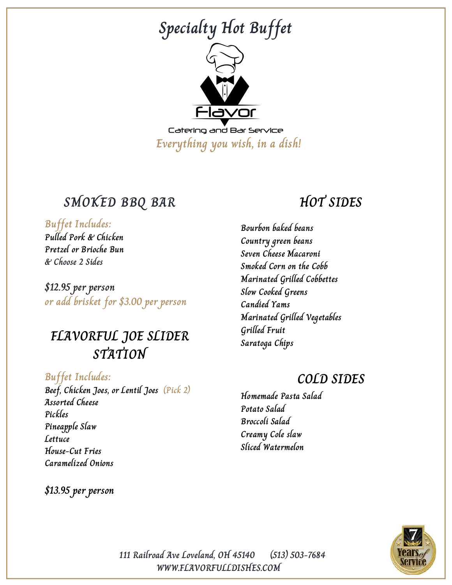

### **SMOKED BBQ BAR**

#### **Buffet Includes:**

**Pulled Pork & Chicken Pretzel or Brioche Bun & Choose 2 Sides**

**\$12.95 per person or add brisket for \$3.00 per person**

### **FLAVORFUL JOE SLIDER STATION**

**Buffet Includes: Beef, Chicken Joes, or Lentil Joes (Pick 2) Assorted Cheese Pickles Pineapple Slaw Lettuce House-Cut Fries Caramelized Onions**

**\$13.95 per person**

### **HOT SIDES**

**Bourbon baked beans Country green beans Seven Cheese Macaroni Smoked Corn on the Cobb Marinated Grilled Cobbettes Slow Cooked Greens Candied Yams Marinated Grilled Vegetables Grilled Fruit Saratoga Chips**

### **COLD SIDES**

**Homemade Pasta Salad Potato Salad Broccoli Salad Creamy Cole slaw Sliced Watermelon**



**WWW.FLAVORFULLDISHES.COM 111 Railroad Ave Loveland, OH 45140 (513) 503-7684**